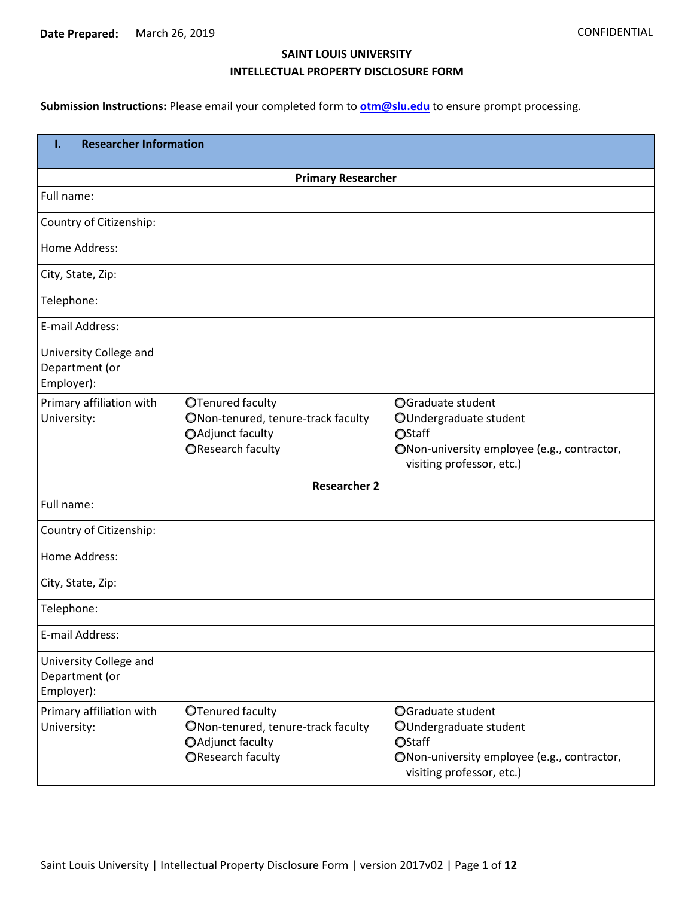## **SAINT LOUIS UNIVERSITY INTELLECTUAL PROPERTY DISCLOSURE FORM**

**Submission Instructions:** Please email your completed form to **[otm@slu.edu](mailto:otm@slu.edu)** to ensure prompt processing.

| <b>Researcher Information</b><br>Ι.                    |                                                                                                 |                                                                                                                                   |  |  |  |  |  |
|--------------------------------------------------------|-------------------------------------------------------------------------------------------------|-----------------------------------------------------------------------------------------------------------------------------------|--|--|--|--|--|
| <b>Primary Researcher</b>                              |                                                                                                 |                                                                                                                                   |  |  |  |  |  |
| Full name:                                             |                                                                                                 |                                                                                                                                   |  |  |  |  |  |
| Country of Citizenship:                                |                                                                                                 |                                                                                                                                   |  |  |  |  |  |
| Home Address:                                          |                                                                                                 |                                                                                                                                   |  |  |  |  |  |
| City, State, Zip:                                      |                                                                                                 |                                                                                                                                   |  |  |  |  |  |
| Telephone:                                             |                                                                                                 |                                                                                                                                   |  |  |  |  |  |
| E-mail Address:                                        |                                                                                                 |                                                                                                                                   |  |  |  |  |  |
| University College and<br>Department (or<br>Employer): |                                                                                                 |                                                                                                                                   |  |  |  |  |  |
| Primary affiliation with<br>University:                | OTenured faculty<br>ONon-tenured, tenure-track faculty<br>OAdjunct faculty<br>OResearch faculty | OGraduate student<br>OUndergraduate student<br>OStaff<br>ONon-university employee (e.g., contractor,<br>visiting professor, etc.) |  |  |  |  |  |
|                                                        | <b>Researcher 2</b>                                                                             |                                                                                                                                   |  |  |  |  |  |
| Full name:                                             |                                                                                                 |                                                                                                                                   |  |  |  |  |  |
| Country of Citizenship:                                |                                                                                                 |                                                                                                                                   |  |  |  |  |  |
| Home Address:                                          |                                                                                                 |                                                                                                                                   |  |  |  |  |  |
| City, State, Zip:                                      |                                                                                                 |                                                                                                                                   |  |  |  |  |  |
| Telephone:                                             |                                                                                                 |                                                                                                                                   |  |  |  |  |  |
| E-mail Address:                                        |                                                                                                 |                                                                                                                                   |  |  |  |  |  |
| University College and<br>Department (or<br>Employer): |                                                                                                 |                                                                                                                                   |  |  |  |  |  |
| Primary affiliation with<br>University:                | OTenured faculty<br>ONon-tenured, tenure-track faculty<br>OAdjunct faculty<br>OResearch faculty | OGraduate student<br>OUndergraduate student<br>OStaff<br>ONon-university employee (e.g., contractor,<br>visiting professor, etc.) |  |  |  |  |  |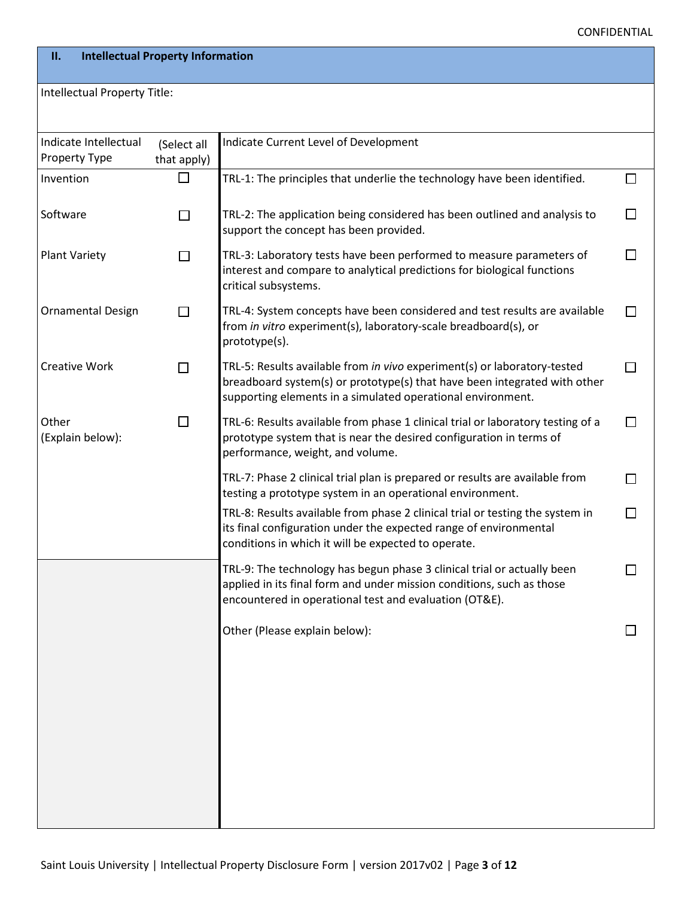| $\Box$ | $\Box$ |
|--------|--------|
| $\Box$ | $\Box$ |
| $\Box$ | $\Box$ |
| $\Box$ | $\Box$ |
| $\Box$ | $\Box$ |
| $\Box$ | $\Box$ |
|        |        |

 $\Box$ 

 $\Box$ 

 $\Box$ 

 $\Box$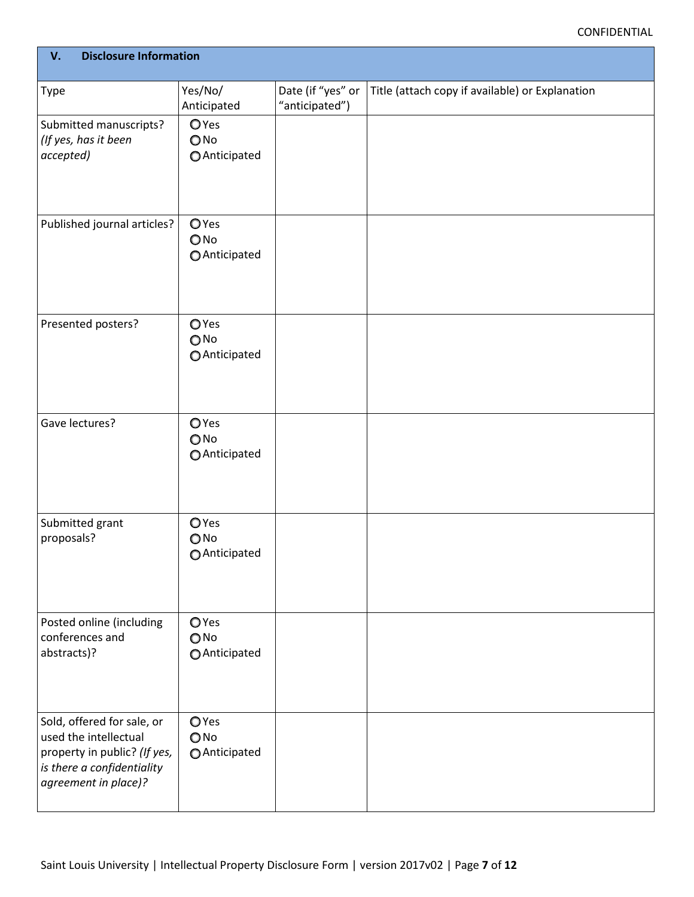$\begin{matrix} 0 \\ 0 \\ 0 \end{matrix}$  $\begin{matrix} 0 \\ 0 \\ 0 \end{matrix}$  $\begin{matrix} 0 \\ 0 \\ 0 \end{matrix}$  $\begin{matrix} 0 \\ 0 \\ 0 \end{matrix}$  $\begin{matrix} 0 \\ 0 \\ 0 \end{matrix}$  $\begin{matrix} 0 \\ 0 \\ 0 \end{matrix}$  $\begin{matrix} 0 \\ 0 \\ 0 \end{matrix}$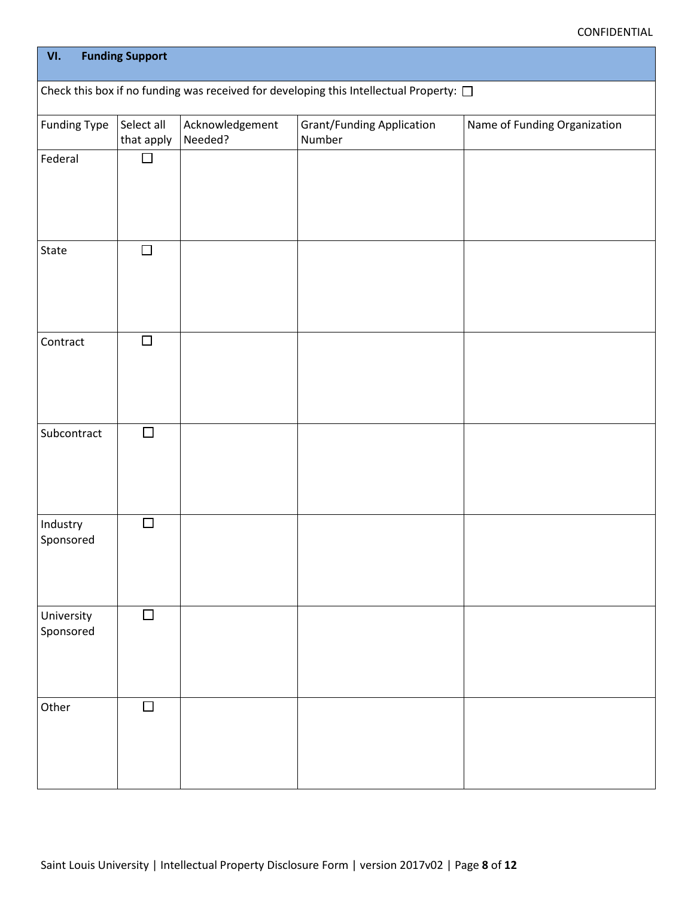$\Box$ 

 $\Box$  $\Box$  $\Box$  $\Box$  $\Box$  $\Box$  $\Box$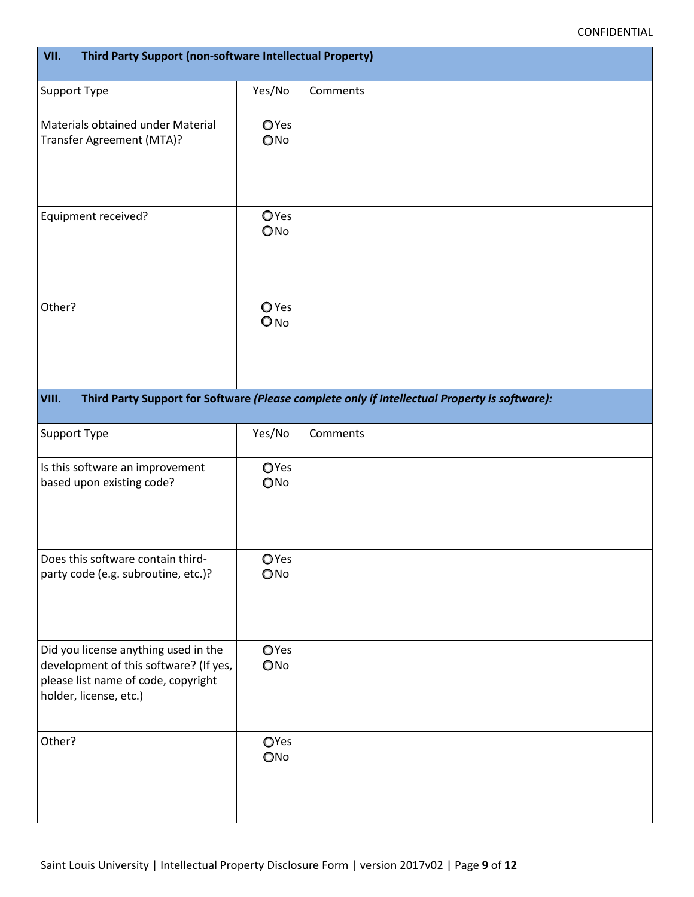$\circ$  $\circ$  $\overline{O}$  $\circ$  $\circ$  $\begin{matrix}0\\0\end{matrix}$  $\begin{matrix}0\\0\end{matrix}$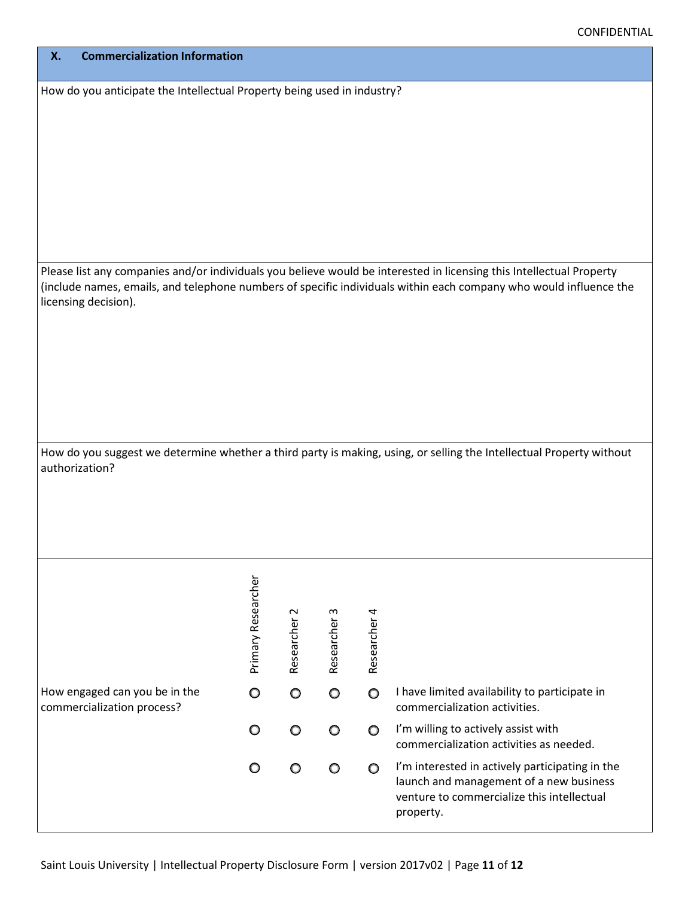| $0$ 0 0 0 |  |  |
|-----------|--|--|
| $0$ 0 0 0 |  |  |
| $0$ 0 0 0 |  |  |